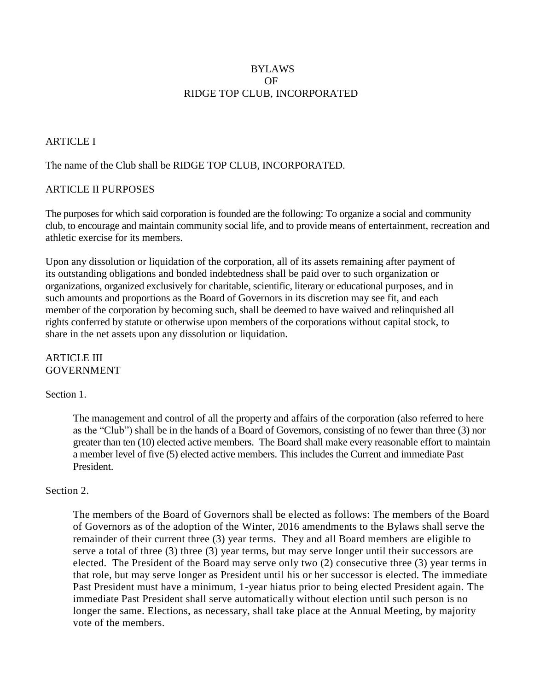# BYLAWS OF RIDGE TOP CLUB, INCORPORATED

# **ARTICLE I**

## The name of the Club shall be RIDGE TOP CLUB, INCORPORATED.

#### ARTICLE II PURPOSES

The purposes for which said corporation is founded are the following: To organize a social and community club, to encourage and maintain community social life, and to provide means of entertainment, recreation and athletic exercise for its members.

Upon any dissolution or liquidation of the corporation, all of its assets remaining after payment of its outstanding obligations and bonded indebtedness shall be paid over to such organization or organizations, organized exclusively for charitable, scientific, literary or educational purposes, and in such amounts and proportions as the Board of Governors in its discretion may see fit, and each member of the corporation by becoming such, shall be deemed to have waived and relinquished all rights conferred by statute or otherwise upon members of the corporations without capital stock, to share in the net assets upon any dissolution or liquidation.

#### ARTICLE III GOVERNMENT

#### Section 1.

The management and control of all the property and affairs of the corporation (also referred to here as the "Club") shall be in the hands of a Board of Governors, consisting of no fewer than three (3) nor greater than ten (10) elected active members. The Board shall make every reasonable effort to maintain a member level of five (5) elected active members. This includes the Current and immediate Past President.

#### Section 2.

The members of the Board of Governors shall be elected as follows: The members of the Board of Governors as of the adoption of the Winter, 2016 amendments to the Bylaws shall serve the remainder of their current three (3) year terms. They and all Board members are eligible to serve a total of three (3) three (3) year terms, but may serve longer until their successors are elected. The President of the Board may serve only two (2) consecutive three (3) year terms in that role, but may serve longer as President until his or her successor is elected. The immediate Past President must have a minimum, 1-year hiatus prior to being elected President again. The immediate Past President shall serve automatically without election until such person is no longer the same. Elections, as necessary, shall take place at the Annual Meeting, by majority vote of the members.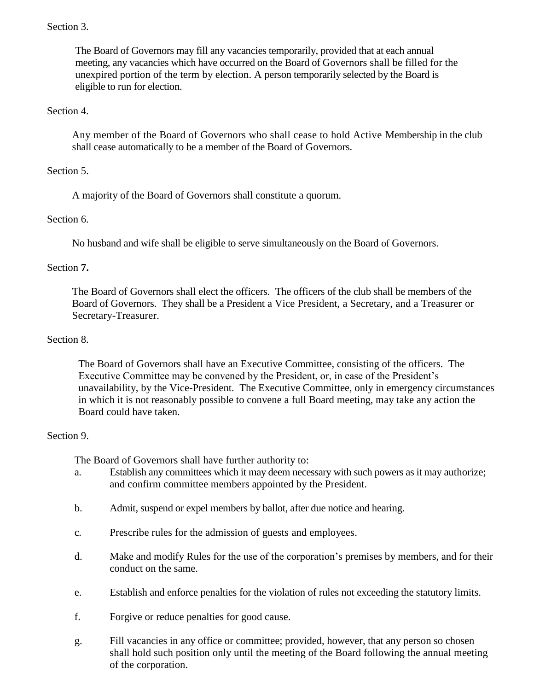# Section 3.

The Board of Governors may fill any vacancies temporarily, provided that at each annual meeting, any vacancies which have occurred on the Board of Governors shall be filled for the unexpired portion of the term by election. A person temporarily selected by the Board is eligible to run for election.

## Section 4.

Any member of the Board of Governors who shall cease to hold Active Membership in the club shall cease automatically to be a member of the Board of Governors.

# Section 5.

A majority of the Board of Governors shall constitute a quorum.

# Section 6.

No husband and wife shall be eligible to serve simultaneously on the Board of Governors.

# Section **7.**

The Board of Governors shall elect the officers. The officers of the club shall be members of the Board of Governors. They shall be a President a Vice President, a Secretary, and a Treasurer or Secretary-Treasurer.

## Section 8.

The Board of Governors shall have an Executive Committee, consisting of the officers. The Executive Committee may be convened by the President, or, in case of the President's unavailability, by the Vice-President. The Executive Committee, only in emergency circumstances in which it is not reasonably possible to convene a full Board meeting, may take any action the Board could have taken.

## Section 9.

The Board of Governors shall have further authority to:

- a. Establish any committees which it may deem necessary with such powers as it may authorize; and confirm committee members appointed by the President.
- b. Admit, suspend or expel members by ballot, after due notice and hearing.
- c. Prescribe rules for the admission of guests and employees.
- d. Make and modify Rules for the use of the corporation's premises by members, and for their conduct on the same.
- e. Establish and enforce penalties for the violation of rules not exceeding the statutory limits.
- f. Forgive or reduce penalties for good cause.
- g. Fill vacancies in any office or committee; provided, however, that any person so chosen shall hold such position only until the meeting of the Board following the annual meeting of the corporation.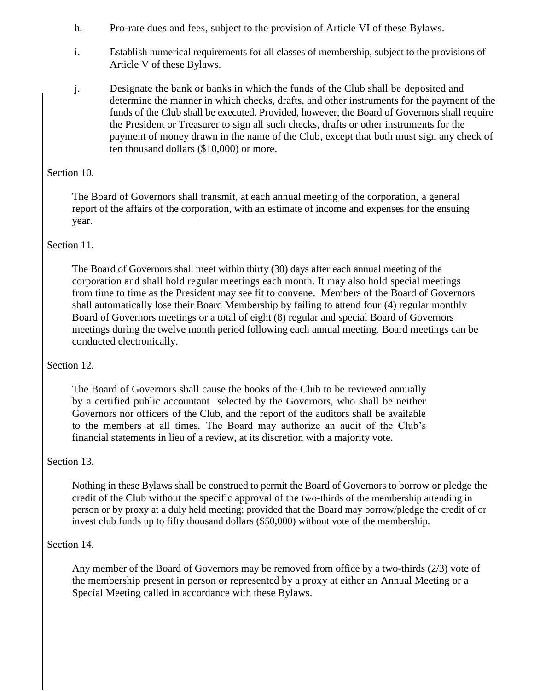- h. Pro-rate dues and fees, subject to the provision of Article VI of these Bylaws.
- i. Establish numerical requirements for all classes of membership, subject to the provisions of Article V of these Bylaws.
- j. Designate the bank or banks in which the funds of the Club shall be deposited and determine the manner in which checks, drafts, and other instruments for the payment of the funds of the Club shall be executed. Provided, however, the Board of Governors shall require the President or Treasurer to sign all such checks, drafts or other instruments for the payment of money drawn in the name of the Club, except that both must sign any check of ten thousand dollars (\$10,000) or more.

# Section 10.

The Board of Governors shall transmit, at each annual meeting of the corporation, a general report of the affairs of the corporation, with an estimate of income and expenses for the ensuing year.

# Section 11.

The Board of Governors shall meet within thirty (30) days after each annual meeting of the corporation and shall hold regular meetings each month. It may also hold special meetings from time to time as the President may see fit to convene. Members of the Board of Governors shall automatically lose their Board Membership by failing to attend four (4) regular monthly Board of Governors meetings or a total of eight (8) regular and special Board of Governors meetings during the twelve month period following each annual meeting. Board meetings can be conducted electronically.

# Section 12.

The Board of Governors shall cause the books of the Club to be reviewed annually by a certified public accountant selected by the Governors, who shall be neither Governors nor officers of the Club, and the report of the auditors shall be available to the members at all times. The Board may authorize an audit of the Club's financial statements in lieu of a review, at its discretion with a majority vote.

## Section 13.

Nothing in these Bylaws shall be construed to permit the Board of Governors to borrow or pledge the credit of the Club without the specific approval of the two-thirds of the membership attending in person or by proxy at a duly held meeting; provided that the Board may borrow/pledge the credit of or invest club funds up to fifty thousand dollars (\$50,000) without vote of the membership.

# Section 14.

Any member of the Board of Governors may be removed from office by a two-thirds (2/3) vote of the membership present in person or represented by a proxy at either an Annual Meeting or a Special Meeting called in accordance with these Bylaws.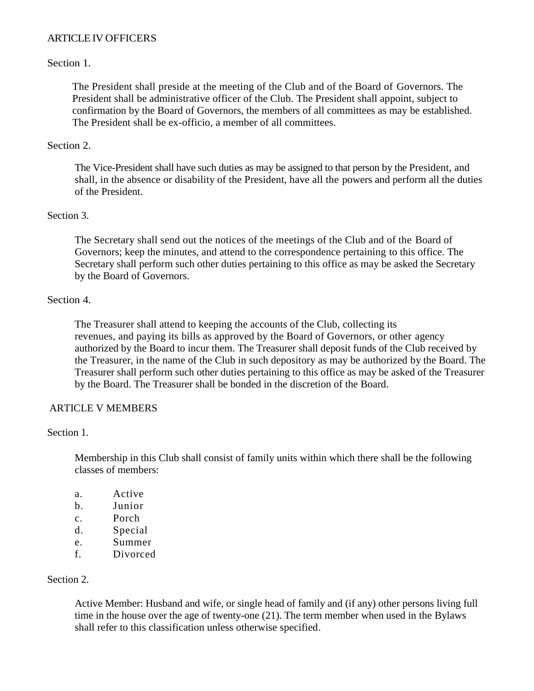# ARTICLE IV OFFICERS

## Section 1.

The President shall preside at the meeting of the Club and of the Board of Governors. The President shall be administrative officer of the Club. The President shall appoint, subject to confirmation by the Board of Governors, the members of all committees as may be established. The President shall be ex-officio, a member of all committees.

## Section 2.

The Vice-President shall have such duties as may be assigned to that person by the President, and shall, in the absence or disability of the President, have all the powers and perform all the duties of the President.

## Section 3.

The Secretary shall send out the notices of the meetings of the Club and of the Board of Governors; keep the minutes, and attend to the correspondence pertaining to this office. The Secretary shall perform such other duties pertaining to this office as may be asked the Secretary by the Board of Governors.

# Section 4.

The Treasurer shall attend to keeping the accounts of the Club, collecting its revenues, and paying its bills as approved by the Board of Governors, or other agency authorized by the Board to incur them. The Treasurer shall deposit funds of the Club received by the Treasurer, in the name of the Club in such depository as may be authorized by the Board. The Treasurer shall perform such other duties pertaining to this office as may be asked of the Treasurer by the Board. The Treasurer shall be bonded in the discretion of the Board.

## ARTICLE V MEMBERS

## Section 1.

Membership in this Club shall consist of family units within which there shall be the following classes of members:

- a. Active
- b. Junior
- c. Porch
- d. Special
- e. Summer
- f. Divorced

## Section 2.

Active Member: Husband and wife, or single head of family and (if any) other persons living full time in the house over the age of twenty-one (21). The term member when used in the Bylaws shall refer to this classification unless otherwise specified.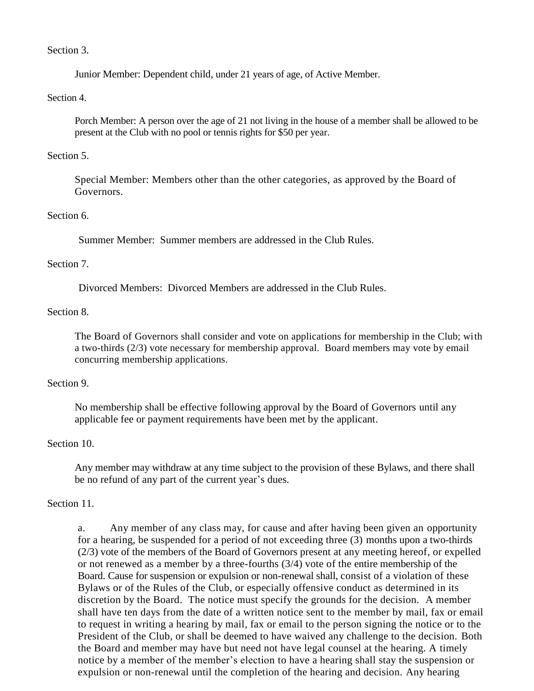### Section 3.

Junior Member: Dependent child, under 21 years of age, of Active Member.

#### Section 4.

Porch Member: A person over the age of 21 not living in the house of a member shall be allowed to be present at the Club with no pool or tennis rights for \$50 per year.

### Section 5.

Special Member: Members other than the other categories, as approved by the Board of Governors.

### Section 6.

Summer Member: Summer members are addressed in the Club Rules.

#### Section 7.

Divorced Members: Divorced Members are addressed in the Club Rules.

#### Section 8.

The Board of Governors shall consider and vote on applications for membership in the Club; with a two-thirds (2/3) vote necessary for membership approval. Board members may vote by email concurring membership applications.

#### Section 9.

No membership shall be effective following approval by the Board of Governors until any applicable fee or payment requirements have been met by the applicant.

## Section 10.

Any member may withdraw at any time subject to the provision of these Bylaws, and there shall be no refund of any part of the current year's dues.

## Section 11.

a. Any member of any class may, for cause and after having been given an opportunity for a hearing, be suspended for a period of not exceeding three (3) months upon a two-thirds (2/3) vote of the members of the Board of Governors present at any meeting hereof, or expelled or not renewed as a member by a three-fourths (3/4) vote of the entire membership of the Board. Cause for suspension or expulsion or non-renewal shall, consist of a violation of these Bylaws or of the Rules of the Club, or especially offensive conduct as determined in its discretion by the Board. The notice must specify the grounds for the decision. A member shall have ten days from the date of a written notice sent to the member by mail, fax or email to request in writing a hearing by mail, fax or email to the person signing the notice or to the President of the Club, or shall be deemed to have waived any challenge to the decision. Both the Board and member may have but need not have legal counsel at the hearing. A timely notice by a member of the member's election to have a hearing shall stay the suspension or expulsion or non-renewal until the completion of the hearing and decision. Any hearing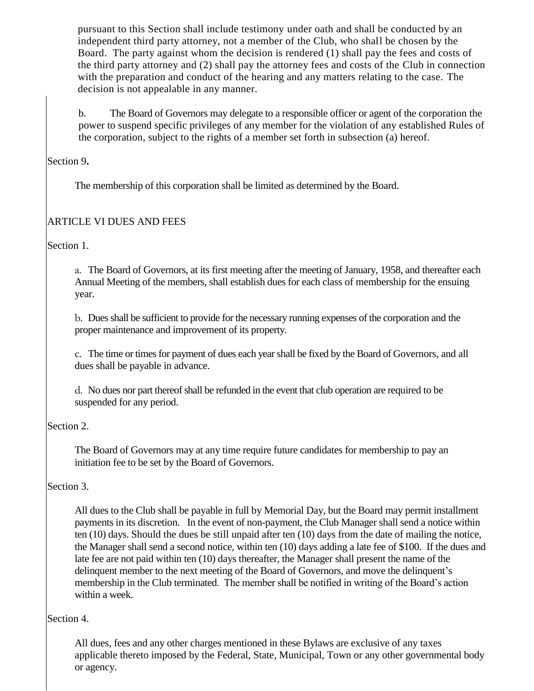pursuant to this Section shall include testimony under oath and shall be conducted by an independent third party attorney, not a member of the Club, who shall be chosen by the Board. The party against whom the decision is rendered (1) shall pay the fees and costs of the third party attorney and (2) shall pay the attorney fees and costs of the Club in connection with the preparation and conduct of the hearing and any matters relating to the case. The decision is not appealable in any manner.

b. The Board of Governors may delegate to a responsible officer or agent of the corporation the power to suspend specific privileges of any member for the violation of any established Rules of the corporation, subject to the rights of a member set forth in subsection (a) hereof.

Section 9**.**

The membership of this corporation shall be limited as determined by the Board.

# ARTICLE VI DUES AND FEES

Section 1.

a. The Board of Governors, at its first meeting after the meeting of January, 1958, and thereafter each Annual Meeting of the members, shall establish dues for each class of membership for the ensuing year.

b. Dues shall be sufficient to provide for the necessary running expenses of the corporation and the proper maintenance and improvement of its property.

c. The time or times for payment of dues each year shall be fixed by the Board of Governors, and all dues shall be payable in advance.

d. No dues nor part thereof shall be refunded in the event that club operation are required to be suspended for any period.

# Section 2.

The Board of Governors may at any time require future candidates for membership to pay an initiation fee to be set by the Board of Governors.

# Section 3.

All dues to the Club shall be payable in full by Memorial Day, but the Board may permit installment payments in its discretion. In the event of non-payment, the Club Manager shall send a notice within ten (10) days. Should the dues be still unpaid after ten (10) days from the date of mailing the notice, the Manager shall send a second notice, within ten (10) days adding a late fee of \$100. If the dues and late fee are not paid within ten (10) days thereafter, the Manager shall present the name of the delinquent member to the next meeting of the Board of Governors, and move the delinquent's membership in the Club terminated. The member shall be notified in writing of the Board's action within a week.

# Section 4.

All dues, fees and any other charges mentioned in these Bylaws are exclusive of any taxes applicable thereto imposed by the Federal, State, Municipal, Town or any other governmental body or agency.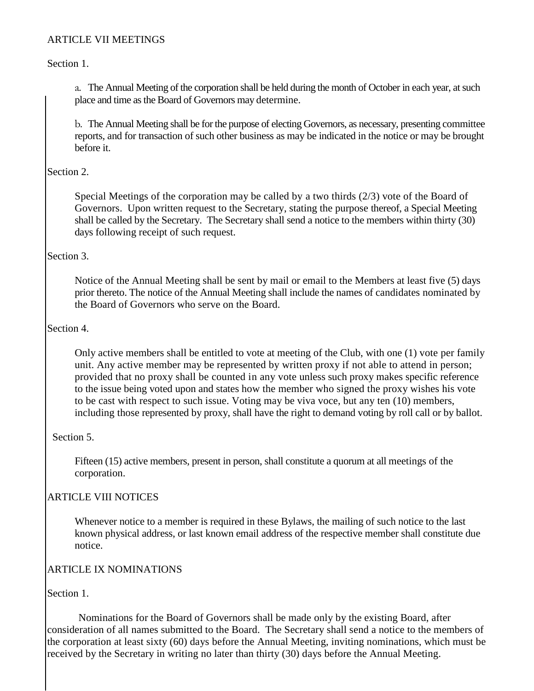# ARTICLE VII MEETINGS

## Section 1.

a. The Annual Meeting of the corporation shall be held during the month of October in each year, at such place and time as the Board of Governors may determine.

b. The Annual Meeting shall be for the purpose of electing Governors, as necessary, presenting committee reports, and for transaction of such other business as may be indicated in the notice or may be brought before it.

## Section 2.

Special Meetings of the corporation may be called by a two thirds (2/3) vote of the Board of Governors. Upon written request to the Secretary, stating the purpose thereof, a Special Meeting shall be called by the Secretary. The Secretary shall send a notice to the members within thirty (30) days following receipt of such request.

#### Section 3.

Notice of the Annual Meeting shall be sent by mail or email to the Members at least five (5) days prior thereto. The notice of the Annual Meeting shall include the names of candidates nominated by the Board of Governors who serve on the Board.

#### Section 4.

Only active members shall be entitled to vote at meeting of the Club, with one (1) vote per family unit. Any active member may be represented by written proxy if not able to attend in person; provided that no proxy shall be counted in any vote unless such proxy makes specific reference to the issue being voted upon and states how the member who signed the proxy wishes his vote to be cast with respect to such issue. Voting may be viva voce, but any ten (10) members, including those represented by proxy, shall have the right to demand voting by roll call or by ballot.

## Section 5.

Fifteen (15) active members, present in person, shall constitute a quorum at all meetings of the corporation.

## ARTICLE VIII NOTICES

Whenever notice to a member is required in these Bylaws, the mailing of such notice to the last known physical address, or last known email address of the respective member shall constitute due notice.

## ARTICLE IX NOMINATIONS

Section 1.

Nominations for the Board of Governors shall be made only by the existing Board, after consideration of all names submitted to the Board. The Secretary shall send a notice to the members of the corporation at least sixty (60) days before the Annual Meeting, inviting nominations, which must be received by the Secretary in writing no later than thirty (30) days before the Annual Meeting.